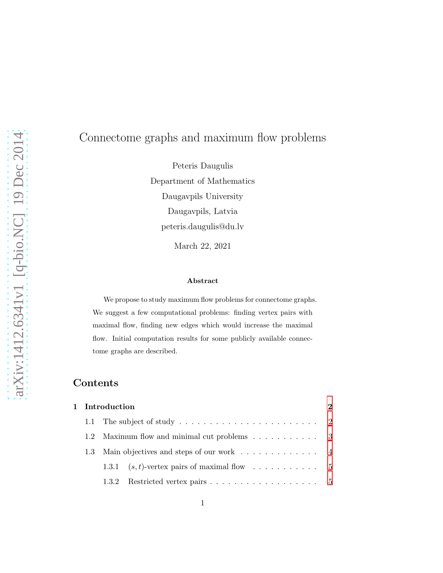# arXiv:1412.6341v1 [q-bio.NC] 19 Dec 2014 [arXiv:1412.6341v1 \[q-bio.NC\] 19 Dec 2014](http://arxiv.org/abs/1412.6341v1)

# Connectome graphs and maximum flow problems

Peteris Daugulis Department of Mathematics Daugavpils University Daugavpils, Latvia peteris.daugulis@du.lv March 22, 2021

### Abstract

We propose to study maximum flow problems for connectome graphs. We suggest a few computational problems: finding vertex pairs with maximal flow, finding new edges which would increase the maximal flow. Initial computation results for some publicly available connectome graphs are described.

# Contents

| 1 Introduction |               |                                                                   |  |  |
|----------------|---------------|-------------------------------------------------------------------|--|--|
|                |               |                                                                   |  |  |
|                | $1.2^{\circ}$ | Maximum flow and minimal cut problems 3                           |  |  |
|                | $1.3^{\circ}$ | Main objectives and steps of our work $\dots \dots \dots \dots$ 4 |  |  |
|                |               |                                                                   |  |  |
|                |               |                                                                   |  |  |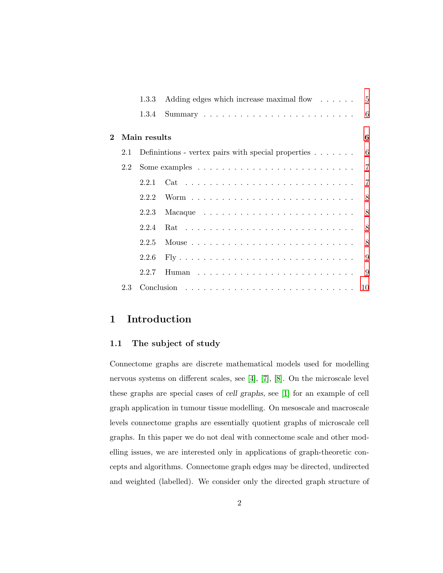|         |     |              | 1.3.3 Adding edges which increase maximal flow 5                        |                |  |  |  |
|---------|-----|--------------|-------------------------------------------------------------------------|----------------|--|--|--|
|         |     |              |                                                                         |                |  |  |  |
| $2^{-}$ |     | Main results |                                                                         |                |  |  |  |
|         |     |              | 2.1 Definintions - vertex pairs with special properties $\dots \dots$ 6 |                |  |  |  |
|         |     |              |                                                                         |                |  |  |  |
|         |     |              |                                                                         | $\overline{7}$ |  |  |  |
|         |     |              |                                                                         |                |  |  |  |
|         |     | 2.2.3        |                                                                         |                |  |  |  |
|         |     |              |                                                                         |                |  |  |  |
|         |     | 2.2.5        |                                                                         |                |  |  |  |
|         |     | 2.2.6        |                                                                         |                |  |  |  |
|         |     | 2.2.7        |                                                                         |                |  |  |  |
|         | 2.3 |              |                                                                         |                |  |  |  |

# <span id="page-1-1"></span><span id="page-1-0"></span>1 Introduction

### 1.1 The subject of study

Connectome graphs are discrete mathematical models used for modelling nervous systems on different scales, see [\[4\]](#page-10-0), [\[7\]](#page-10-1), [\[8\]](#page-10-2). On the microscale level these graphs are special cases of cell graphs, see [\[1\]](#page-10-3) for an example of cell graph application in tumour tissue modelling. On mesoscale and macroscale levels connectome graphs are essentially quotient graphs of microscale cell graphs. In this paper we do not deal with connectome scale and other modelling issues, we are interested only in applications of graph-theoretic concepts and algorithms. Connectome graph edges may be directed, undirected and weighted (labelled). We consider only the directed graph structure of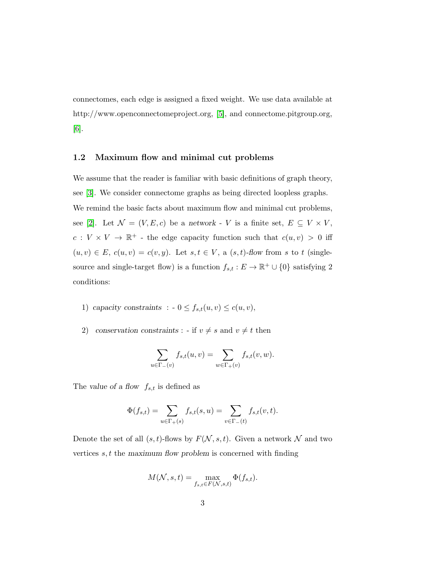connectomes, each edge is assigned a fixed weight. We use data available at http://www.openconnectomeproject.org, [\[5\]](#page-10-4), and connectome.pitgroup.org, [\[6\]](#page-10-5).

### <span id="page-2-0"></span>1.2 Maximum flow and minimal cut problems

We assume that the reader is familiar with basic definitions of graph theory, see [\[3\]](#page-10-6). We consider connectome graphs as being directed loopless graphs. We remind the basic facts about maximum flow and minimal cut problems, see [\[2\]](#page-10-7). Let  $\mathcal{N} = (V, E, c)$  be a network - V is a finite set,  $E \subseteq V \times V$ ,  $c: V \times V \to \mathbb{R}^+$  - the edge capacity function such that  $c(u, v) > 0$  iff  $(u, v) \in E$ ,  $c(u, v) = c(v, y)$ . Let  $s, t \in V$ , a  $(s, t)$ -flow from s to t (singlesource and single-target flow) is a function  $f_{s,t}: E \to \mathbb{R}^+ \cup \{0\}$  satisfying 2 conditions:

- 1) capacity constraints :  $-0 \le f_{s,t}(u, v) \le c(u, v)$ ,
- 2) conservation constraints : if  $v \neq s$  and  $v \neq t$  then

$$
\sum_{u \in \Gamma_-(v)} f_{s,t}(u,v) = \sum_{w \in \Gamma_+(v)} f_{s,t}(v,w).
$$

The value of a flow  $f_{s,t}$  is defined as

$$
\Phi(f_{s,t}) = \sum_{u \in \Gamma_+(s)} f_{s,t}(s,u) = \sum_{v \in \Gamma_-(t)} f_{s,t}(v,t).
$$

Denote the set of all  $(s, t)$ -flows by  $F(\mathcal{N}, s, t)$ . Given a network  $\mathcal N$  and two vertices  $s, t$  the maximum flow problem is concerned with finding

$$
M(\mathcal{N}, s, t) = \max_{f_{s,t} \in F(\mathcal{N}, s, t)} \Phi(f_{s,t}).
$$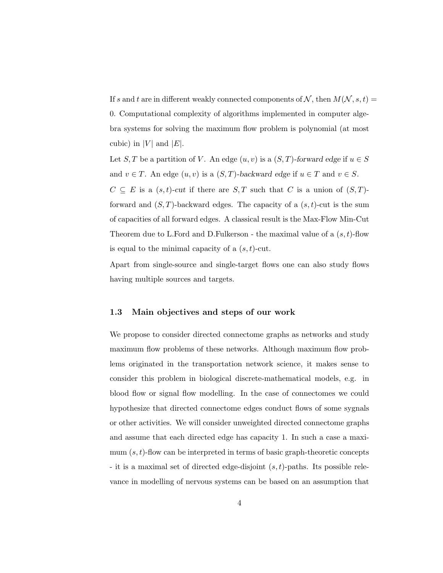If s and t are in different weakly connected components of N, then  $M(N, s, t)$  = 0. Computational complexity of algorithms implemented in computer algebra systems for solving the maximum flow problem is polynomial (at most cubic) in |V| and  $|E|$ .

Let S, T be a partition of V. An edge  $(u, v)$  is a  $(S, T)$ -forward edge if  $u \in S$ and  $v \in T$ . An edge  $(u, v)$  is a  $(S, T)$ -backward edge if  $u \in T$  and  $v \in S$ .  $C \subseteq E$  is a  $(s,t)$ -cut if there are  $S,T$  such that C is a union of  $(S,T)$ forward and  $(S, T)$ -backward edges. The capacity of a  $(s, t)$ -cut is the sum of capacities of all forward edges. A classical result is the Max-Flow Min-Cut Theorem due to L.Ford and D.Fulkerson - the maximal value of a  $(s, t)$ -flow is equal to the minimal capacity of a  $(s, t)$ -cut.

Apart from single-source and single-target flows one can also study flows having multiple sources and targets.

### <span id="page-3-0"></span>1.3 Main objectives and steps of our work

We propose to consider directed connectome graphs as networks and study maximum flow problems of these networks. Although maximum flow problems originated in the transportation network science, it makes sense to consider this problem in biological discrete-mathematical models, e.g. in blood flow or signal flow modelling. In the case of connectomes we could hypothesize that directed connectome edges conduct flows of some sygnals or other activities. We will consider unweighted directed connectome graphs and assume that each directed edge has capacity 1. In such a case a maximum  $(s, t)$ -flow can be interpreted in terms of basic graph-theoretic concepts - it is a maximal set of directed edge-disjoint  $(s, t)$ -paths. Its possible relevance in modelling of nervous systems can be based on an assumption that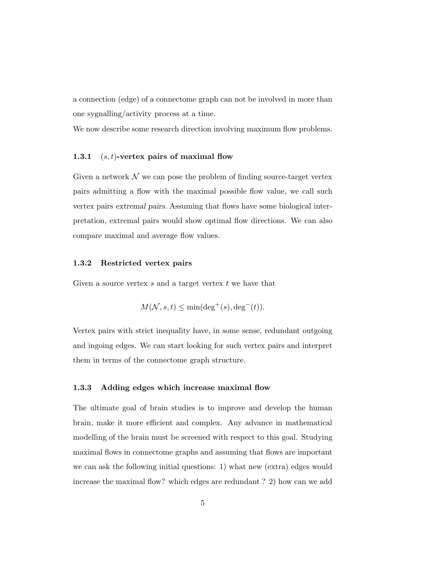a connection (edge) of a connectome graph can not be involved in more than one sygnalling/activity process at a time.

<span id="page-4-0"></span>We now describe some research direction involving maximum flow problems.

### 1.3.1  $(s, t)$ -vertex pairs of maximal flow

Given a network  $\mathcal N$  we can pose the problem of finding source-target vertex pairs admitting a flow with the maximal possible flow value, we call such vertex pairs extremal pairs. Assuming that flows have some biological interpretation, extremal pairs would show optimal flow directions. We can also compare maximal and average flow values.

### <span id="page-4-1"></span>1.3.2 Restricted vertex pairs

Given a source vertex  $s$  and a target vertex  $t$  we have that

$$
M(\mathcal{N}, s, t) \le \min(\deg^+(s), \deg^-(t)).
$$

Vertex pairs with strict inequality have, in some sense, redundant outgoing and ingoing edges. We can start looking for such vertex pairs and interpret them in terms of the connectome graph structure.

### <span id="page-4-2"></span>1.3.3 Adding edges which increase maximal flow

The ultimate goal of brain studies is to improve and develop the human brain, make it more efficient and complex. Any advance in mathematical modelling of the brain must be screened with respect to this goal. Studying maximal flows in connectome graphs and assuming that flows are important we can ask the following initial questions: 1) what new (extra) edges would increase the maximal flow? which edges are redundant ? 2) how can we add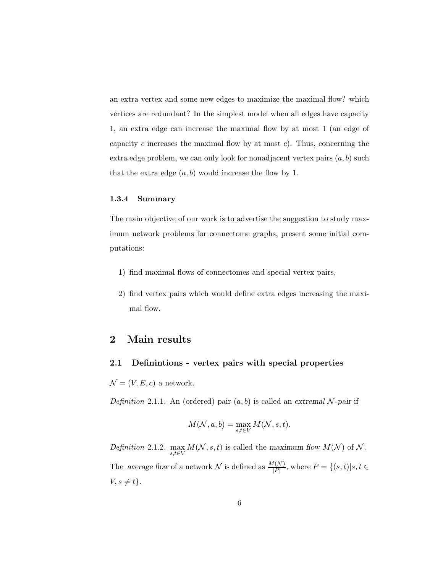an extra vertex and some new edges to maximize the maximal flow? which vertices are redundant? In the simplest model when all edges have capacity 1, an extra edge can increase the maximal flow by at most 1 (an edge of capacity c increases the maximal flow by at most c). Thus, concerning the extra edge problem, we can only look for nonadjacent vertex pairs  $(a, b)$  such that the extra edge  $(a, b)$  would increase the flow by 1.

### <span id="page-5-0"></span>1.3.4 Summary

The main objective of our work is to advertise the suggestion to study maximum network problems for connectome graphs, present some initial computations:

- 1) find maximal flows of connectomes and special vertex pairs,
- <span id="page-5-1"></span>2) find vertex pairs which would define extra edges increasing the maximal flow.

## <span id="page-5-2"></span>2 Main results

### 2.1 Definintions - vertex pairs with special properties

 $\mathcal{N} = (V, E, c)$  a network.

Definition 2.1.1. An (ordered) pair  $(a, b)$  is called an extremal N-pair if

$$
M(\mathcal{N}, a, b) = \max_{s, t \in V} M(\mathcal{N}, s, t).
$$

Definition 2.1.2.  $\max_{s,t \in V} M(N, s, t)$  is called the maximum flow  $M(N)$  of  $N$ . The average flow of a network N is defined as  $\frac{M(N)}{|P|}$ , where  $P = \{(s, t) | s, t \in$  $V, s \neq t$ .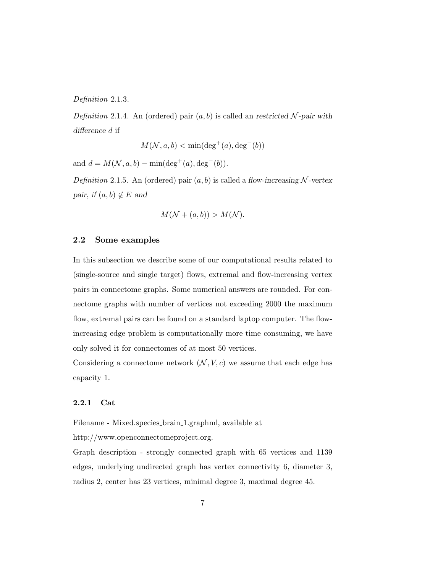Definition 2.1.3.

Definition 2.1.4. An (ordered) pair  $(a, b)$  is called an restricted N-pair with difference d if

$$
M(\mathcal{N}, a, b) < \min(\deg^+(a), \deg^-(b))
$$

and  $d = M(\mathcal{N}, a, b) - \min(\deg^+(a), \deg^-(b)).$ 

Definition 2.1.5. An (ordered) pair  $(a, b)$  is called a flow-increasing N-vertex pair, if  $(a, b) \notin E$  and

$$
M(\mathcal{N} + (a, b)) > M(\mathcal{N}).
$$

### <span id="page-6-0"></span>2.2 Some examples

In this subsection we describe some of our computational results related to (single-source and single target) flows, extremal and flow-increasing vertex pairs in connectome graphs. Some numerical answers are rounded. For connectome graphs with number of vertices not exceeding 2000 the maximum flow, extremal pairs can be found on a standard laptop computer. The flowincreasing edge problem is computationally more time consuming, we have only solved it for connectomes of at most 50 vertices.

Considering a connectome network  $(N, V, c)$  we assume that each edge has capacity 1.

### <span id="page-6-1"></span>2.2.1 Cat

Filename - Mixed.species brain 1.graphml, available at

http://www.openconnectomeproject.org.

Graph description - strongly connected graph with 65 vertices and 1139 edges, underlying undirected graph has vertex connectivity 6, diameter 3, radius 2, center has 23 vertices, minimal degree 3, maximal degree 45.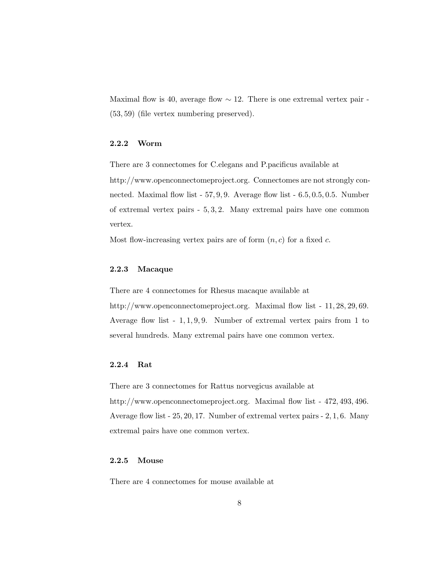Maximal flow is 40, average flow  $\sim$  12. There is one extremal vertex pair -(53, 59) (file vertex numbering preserved).

### <span id="page-7-0"></span>2.2.2 Worm

There are 3 connectomes for C.elegans and P.pacificus available at http://www.openconnectomeproject.org. Connectomes are not strongly connected. Maximal flow list - 57, 9, 9. Average flow list - 6.5, 0.5, 0.5. Number of extremal vertex pairs - 5, 3, 2. Many extremal pairs have one common vertex.

<span id="page-7-1"></span>Most flow-increasing vertex pairs are of form  $(n, c)$  for a fixed c.

### 2.2.3 Macaque

There are 4 connectomes for Rhesus macaque available at http://www.openconnectomeproject.org. Maximal flow list - 11, 28, 29, 69. Average flow list  $-1, 1, 9, 9$ . Number of extremal vertex pairs from 1 to several hundreds. Many extremal pairs have one common vertex.

### <span id="page-7-2"></span>2.2.4 Rat

There are 3 connectomes for Rattus norvegicus available at http://www.openconnectomeproject.org. Maximal flow list - 472, 493, 496. Average flow list - 25, 20, 17. Number of extremal vertex pairs - 2, 1, 6. Many extremal pairs have one common vertex.

### <span id="page-7-3"></span>2.2.5 Mouse

There are 4 connectomes for mouse available at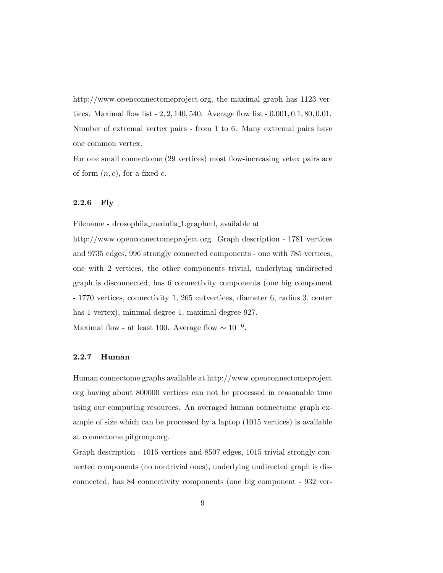http://www.openconnectomeproject.org, the maximal graph has 1123 vertices. Maximal flow list - 2, 2, 140, 540. Average flow list - 0.001, 0.1, 80, 0.01. Number of extremal vertex pairs - from 1 to 6. Many extremal pairs have one common vertex.

For one small connectome (29 vertices) most flow-increasing vetex pairs are of form  $(n, c)$ , for a fixed c.

### <span id="page-8-0"></span>2.2.6 Fly

Filename - drosophila medulla 1.graphml, available at

http://www.openconnectomeproject.org. Graph description - 1781 vertices and 9735 edges, 996 strongly connected components - one with 785 vertices, one with 2 vertices, the other components trivial, underlying undirected graph is disconnected, has 6 connectivity components (one big component - 1770 vertices, connectivity 1, 265 cutvertices, diameter 6, radius 3, center has 1 vertex), minimal degree 1, maximal degree 927.

<span id="page-8-1"></span>Maximal flow - at least 100. Average flow  $\sim 10^{-6}$ .

### 2.2.7 Human

Human connectome graphs available at http://www.openconnectomeproject. org having about 800000 vertices can not be processed in reasonable time using our computing resources. An averaged human connectome graph example of size which can be processed by a laptop (1015 vertices) is available at connectome.pitgroup.org.

Graph description - 1015 vertices and 8507 edges, 1015 trivial strongly connected components (no nontrivial ones), underlying undirected graph is disconnected, has 84 connectivity components (one big component - 932 ver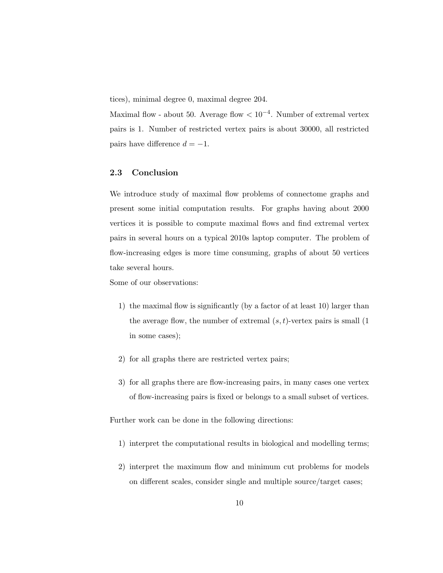tices), minimal degree 0, maximal degree 204.

Maximal flow - about 50. Average flow  $< 10^{-4}$ . Number of extremal vertex pairs is 1. Number of restricted vertex pairs is about 30000, all restricted pairs have difference  $d = -1$ .

### <span id="page-9-0"></span>2.3 Conclusion

We introduce study of maximal flow problems of connectome graphs and present some initial computation results. For graphs having about 2000 vertices it is possible to compute maximal flows and find extremal vertex pairs in several hours on a typical 2010s laptop computer. The problem of flow-increasing edges is more time consuming, graphs of about 50 vertices take several hours.

Some of our observations:

- 1) the maximal flow is significantly (by a factor of at least 10) larger than the average flow, the number of extremal  $(s, t)$ -vertex pairs is small  $(1$ in some cases);
- 2) for all graphs there are restricted vertex pairs;
- 3) for all graphs there are flow-increasing pairs, in many cases one vertex of flow-increasing pairs is fixed or belongs to a small subset of vertices.

Further work can be done in the following directions:

- 1) interpret the computational results in biological and modelling terms;
- 2) interpret the maximum flow and minimum cut problems for models on different scales, consider single and multiple source/target cases;